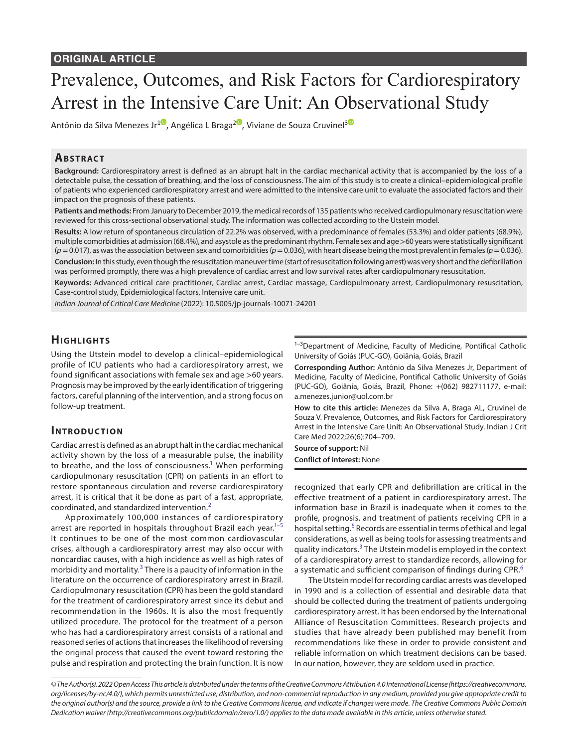# Prevalence, Outcomes, and Risk Factors for Cardiorespiratory Arrest in the Intensive Care Unit: An Observational Study

Antônio da Silva Menezes Jr<sup>[1](https://orcid.org/0000-0003-1751-5206)0</sup>, Angélica L Braga<sup>[2](https://orcid.org/0000-0001-5805-507X)0</sup>, Viviane de Souza Cruvinel<sup>[3](https://orcid.org/0000-0002-5098-4517)0</sup>

## **ABSTRACT**

**Background:** Cardiorespiratory arrest is defined as an abrupt halt in the cardiac mechanical activity that is accompanied by the loss of a detectable pulse, the cessation of breathing, and the loss of consciousness. The aim of this study is to create a clinical–epidemiological profile of patients who experienced cardiorespiratory arrest and were admitted to the intensive care unit to evaluate the associated factors and their impact on the prognosis of these patients.

**Patients and methods:** From January to December 2019, the medical records of 135 patients who received cardiopulmonary resuscitation were reviewed for this cross-sectional observational study. The information was collected according to the Utstein model.

**Results:** A low return of spontaneous circulation of 22.2% was observed, with a predominance of females (53.3%) and older patients (68.9%), multiple comorbidities at admission (68.4%), and asystole as the predominant rhythm. Female sex and age >60 years were statistically significant  $(p=0.017)$ , as was the association between sex and comorbidities  $(p=0.036)$ , with heart disease being the most prevalent in females  $(p=0.036)$ . **Conclusion:** In this study, even though the resuscitation maneuver time (start of resuscitation following arrest) was very short and the defibrillation was performed promptly, there was a high prevalence of cardiac arrest and low survival rates after cardiopulmonary resuscitation.

**Keywords:** Advanced critical care practitioner, Cardiac arrest, Cardiac massage, Cardiopulmonary arrest, Cardiopulmonary resuscitation, Case-control study, Epidemiological factors, Intensive care unit.

*Indian Journal of Critical Care Medicine* (2022): 10.5005/jp-journals-10071-24201

# **HIGHLIGHTS**

Using the Utstein model to develop a clinical–epidemiological profile of ICU patients who had a cardiorespiratory arrest, we found significant associations with female sex and age >60 years. Prognosis may be improved by the early identification of triggering factors, careful planning of the intervention, and a strong focus on follow-up treatment.

## **INTRODUCTION**

Cardiac arrest is defined as an abrupt halt in the cardiac mechanical activity shown by the loss of a measurable pulse, the inability to breathe, and the loss of consciousness.<sup>1</sup> When performing cardiopulmonary resuscitation (CPR) on patients in an effort to restore spontaneous circulation and reverse cardiorespiratory arrest, it is critical that it be done as part of a fast, appropriate, coordinated, and standardized intervention.[2](#page-4-1)

Approximately 100,000 instances of cardiorespiratory arrest are reported in hospitals throughout Brazil each year. $1$ -It continues to be one of the most common cardiovascular crises, although a cardiorespiratory arrest may also occur with noncardiac causes, with a high incidence as well as high rates of morbidity and mortality.<sup>[3](#page-4-3)</sup> There is a paucity of information in the literature on the occurrence of cardiorespiratory arrest in Brazil. Cardiopulmonary resuscitation (CPR) has been the gold standard for the treatment of cardiorespiratory arrest since its debut and recommendation in the 1960s. It is also the most frequently utilized procedure. The protocol for the treatment of a person who has had a cardiorespiratory arrest consists of a rational and reasoned series of actions that increases the likelihood of reversing the original process that caused the event toward restoring the pulse and respiration and protecting the brain function. It is now

<sup>1-3</sup>Department of Medicine, Faculty of Medicine, Pontifical Catholic University of Goiás (PUC-GO), Goiânia, Goiás, Brazil

**Corresponding Author:** Antônio da Silva Menezes Jr, Department of Medicine, Faculty of Medicine, Pontifical Catholic University of Goiás (PUC-GO), Goiânia, Goiás, Brazil, Phone: +(062) 982711177, e-mail: a.menezes.junior@uol.com.br

**How to cite this article:** Menezes da Silva A, Braga AL, Cruvinel de Souza V. Prevalence, Outcomes, and Risk Factors for Cardiorespiratory Arrest in the Intensive Care Unit: An Observational Study. Indian J Crit Care Med 2022;26(6):704–709.

**Source of support:** Nil **Conflict of interest:** None

recognized that early CPR and defibrillation are critical in the effective treatment of a patient in cardiorespiratory arrest. The information base in Brazil is inadequate when it comes to the profile, prognosis, and treatment of patients receiving CPR in a hospital setting.<sup>[5](#page-4-2)</sup> Records are essential in terms of ethical and legal considerations, as well as being tools for assessing treatments and quality indicators.<sup>[3](#page-4-3)</sup> The Utstein model is employed in the context of a cardiorespiratory arrest to standardize records, allowing for a systematic and sufficient comparison of findings during CPR.<sup>[6](#page-4-4)</sup>

The Utstein model for recording cardiac arrests was developed in 1990 and is a collection of essential and desirable data that should be collected during the treatment of patients undergoing cardiorespiratory arrest. It has been endorsed by the International Alliance of Resuscitation Committees. Research projects and studies that have already been published may benefit from recommendations like these in order to provide consistent and reliable information on which treatment decisions can be based. In our nation, however, they are seldom used in practice.

*<sup>©</sup> The Author(s). 2022 Open Access This article is distributed under the terms of the Creative Commons Attribution 4.0 International License ([https://creativecommons.](https://creativecommons.org/licenses/by-nc/4.0/) [org/licenses/by-nc/4.0/](https://creativecommons.org/licenses/by-nc/4.0/)), which permits unrestricted use, distribution, and non-commercial reproduction in any medium, provided you give appropriate credit to the original author(s) and the source, provide a link to the Creative Commons license, and indicate if changes were made. The Creative Commons Public Domain Dedication waiver ([http://creativecommons.org/publicdomain/zero/1.0/\)](http://creativecommons.org/publicdomain/zero/1.0/) applies to the data made available in this article, unless otherwise stated.*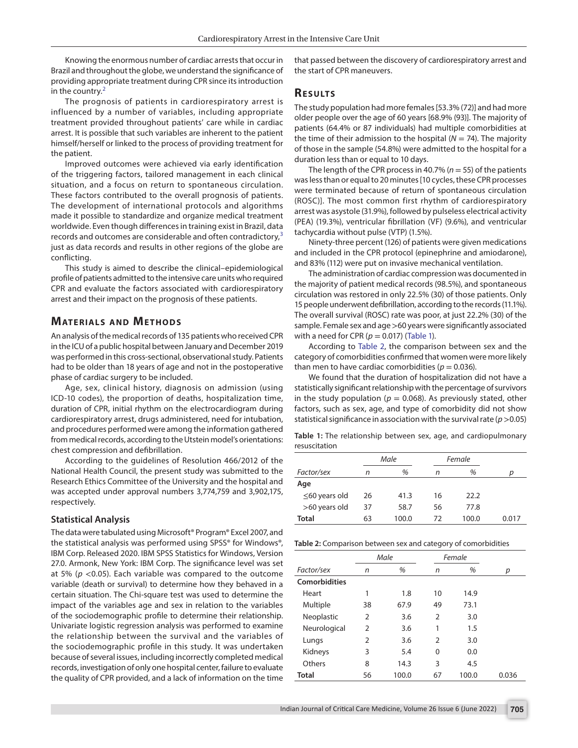Knowing the enormous number of cardiac arrests that occur in Brazil and throughout the globe, we understand the significance of providing appropriate treatment during CPR since its introduction in the country. $2$ 

The prognosis of patients in cardiorespiratory arrest is influenced by a number of variables, including appropriate treatment provided throughout patients' care while in cardiac arrest. It is possible that such variables are inherent to the patient himself/herself or linked to the process of providing treatment for the patient.

Improved outcomes were achieved via early identification of the triggering factors, tailored management in each clinical situation, and a focus on return to spontaneous circulation. These factors contributed to the overall prognosis of patients. The development of international protocols and algorithms made it possible to standardize and organize medical treatment worldwide. Even though differences in training exist in Brazil, data records and outcomes are considerable and often contradictory,<sup>[3](#page-4-3)</sup> just as data records and results in other regions of the globe are conflicting.

This study is aimed to describe the clinical–epidemiological profile of patients admitted to the intensive care units who required CPR and evaluate the factors associated with cardiorespiratory arrest and their impact on the prognosis of these patients.

## **MATERIALS AND METHODS**

An analysis of the medical records of 135 patients who received CPR in the ICU of a public hospital between January and December 2019 was performed in this cross-sectional, observational study. Patients had to be older than 18 years of age and not in the postoperative phase of cardiac surgery to be included.

Age, sex, clinical history, diagnosis on admission (using ICD-10 codes), the proportion of deaths, hospitalization time, duration of CPR, initial rhythm on the electrocardiogram during cardiorespiratory arrest, drugs administered, need for intubation, and procedures performed were among the information gathered from medical records, according to the Utstein model's orientations: chest compression and defibrillation.

According to the guidelines of Resolution 466/2012 of the National Health Council, the present study was submitted to the Research Ethics Committee of the University and the hospital and was accepted under approval numbers 3,774,759 and 3,902,175, respectively.

### **Statistical Analysis**

The data were tabulated using Microsoft® Program® Excel 2007, and the statistical analysis was performed using SPSS® for Windows®, IBM Corp. Released 2020. IBM SPSS Statistics for Windows, Version 27.0. Armonk, New York: IBM Corp. The significance level was set at 5% (*p* <0.05). Each variable was compared to the outcome variable (death or survival) to determine how they behaved in a certain situation. The Chi-square test was used to determine the impact of the variables age and sex in relation to the variables of the sociodemographic profile to determine their relationship. Univariate logistic regression analysis was performed to examine the relationship between the survival and the variables of the sociodemographic profile in this study. It was undertaken because of several issues, including incorrectly completed medical records, investigation of only one hospital center, failure to evaluate the quality of CPR provided, and a lack of information on the time

that passed between the discovery of cardiorespiratory arrest and the start of CPR maneuvers.

## **RESULTS**

The study population had more females [53.3% (72)] and had more older people over the age of 60 years [68.9% (93)]. The majority of patients (64.4% or 87 individuals) had multiple comorbidities at the time of their admission to the hospital  $(N = 74)$ . The majority of those in the sample (54.8%) were admitted to the hospital for a duration less than or equal to 10 days.

The length of the CPR process in 40.7% (*n* = 55) of the patients was less than or equal to 20 minutes [10 cycles, these CPR processes were terminated because of return of spontaneous circulation (ROSC)]. The most common first rhythm of cardiorespiratory arrest was asystole (31.9%), followed by pulseless electrical activity (PEA) (19.3%), ventricular fibrillation (VF) (9.6%), and ventricular tachycardia without pulse (VTP) (1.5%).

Ninety-three percent (126) of patients were given medications and included in the CPR protocol (epinephrine and amiodarone), and 83% (112) were put on invasive mechanical ventilation.

The administration of cardiac compression was documented in the majority of patient medical records (98.5%), and spontaneous circulation was restored in only 22.5% (30) of those patients. Only 15 people underwent defibrillation, according to the records (11.1%). The overall survival (ROSC) rate was poor, at just 22.2% (30) of the sample. Female sex and age >60 years were significantly associated with a need for CPR ( $p = 0.017$ ) ([Table 1\)](#page-1-0).

According to [Table 2](#page-1-1), the comparison between sex and the category of comorbidities confirmed that women were more likely than men to have cardiac comorbidities ( $p = 0.036$ ).

We found that the duration of hospitalization did not have a statistically significant relationship with the percentage of survivors in the study population ( $p = 0.068$ ). As previously stated, other factors, such as sex, age, and type of comorbidity did not show statistical significance in association with the survival rate ( $p > 0.05$ )

<span id="page-1-0"></span>**Table 1:** The relationship between sex, age, and cardiopulmonary resuscitation

|                     |    | Male  |    | Female |       |  |
|---------------------|----|-------|----|--------|-------|--|
| Factor/sex          | n  | %     |    | %      | D     |  |
| Age                 |    |       |    |        |       |  |
| $\leq$ 60 years old | 26 | 41.3  | 16 | 22.2   |       |  |
| >60 years old       | 37 | 58.7  | 56 | 77.8   |       |  |
| <b>Total</b>        | 63 | 100.0 | 72 | 100.0  | 0.017 |  |

<span id="page-1-1"></span>**Table 2:** Comparison between sex and category of comorbidities

|               | Male           |       | Female         |       |       |
|---------------|----------------|-------|----------------|-------|-------|
| Factor/sex    | %<br>n         |       | n              | %     | р     |
| Comorbidities |                |       |                |       |       |
| Heart         |                | 1.8   | 10             | 14.9  |       |
| Multiple      | 38             | 67.9  | 49             | 73.1  |       |
| Neoplastic    | $\overline{2}$ | 3.6   | $\overline{2}$ | 3.0   |       |
| Neurological  | $\mathcal{P}$  | 3.6   | 1              | 1.5   |       |
| Lungs         | 2              | 3.6   | 2              | 3.0   |       |
| Kidneys       | 3              | 5.4   | 0              | 0.0   |       |
| Others        | 8              | 14.3  | 3              | 4.5   |       |
| Total         | 56             | 100.0 | 67             | 100.0 | 0.036 |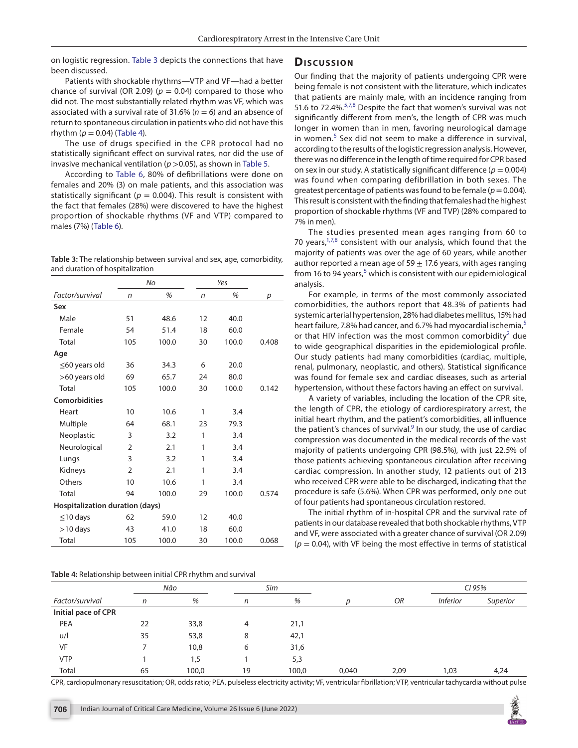on logistic regression. [Table 3](#page-2-0) depicts the connections that have been discussed.

Patients with shockable rhythms—VTP and VF—had a better chance of survival (OR 2.09) ( $p = 0.04$ ) compared to those who did not. The most substantially related rhythm was VF, which was associated with a survival rate of 31.6% ( $n = 6$ ) and an absence of return to spontaneous circulation in patients who did not have this rhythm ( $p = 0.04$ ) ([Table 4](#page-2-1)).

The use of drugs specified in the CPR protocol had no statistically significant effect on survival rates, nor did the use of invasive mechanical ventilation (*p* >0.05), as shown in [Table 5.](#page-3-0)

According to [Table 6,](#page-3-1) 80% of defibrillations were done on females and 20% (3) on male patients, and this association was statistically significant ( $p = 0.004$ ). This result is consistent with the fact that females (28%) were discovered to have the highest proportion of shockable rhythms (VF and VTP) compared to males (7%) [\(Table 6\)](#page-3-1).

<span id="page-2-0"></span>**Table 3:** The relationship between survival and sex, age, comorbidity, and duration of hospitalization

|                                 |                | No    |    | Yes   |       |  |  |
|---------------------------------|----------------|-------|----|-------|-------|--|--|
| Factor/survival                 | n              | %     | n  | %     | р     |  |  |
| Sex                             |                |       |    |       |       |  |  |
| Male                            | 51             | 48.6  | 12 | 40.0  |       |  |  |
| Female                          | 54             | 51.4  | 18 | 60.0  |       |  |  |
| Total                           | 105            | 100.0 | 30 | 100.0 | 0.408 |  |  |
| Age                             |                |       |    |       |       |  |  |
| $\leq$ 60 years old             | 36             | 34.3  | 6  | 20.0  |       |  |  |
| >60 years old                   | 69             | 65.7  | 24 | 80.0  |       |  |  |
| Total                           | 105            | 100.0 | 30 | 100.0 | 0.142 |  |  |
| <b>Comorbidities</b>            |                |       |    |       |       |  |  |
| Heart                           | 10             | 10.6  | 1  | 3.4   |       |  |  |
| Multiple                        | 64             | 68.1  | 23 | 79.3  |       |  |  |
| Neoplastic                      | 3              | 3.2   | 1  | 3.4   |       |  |  |
| Neurological                    | $\overline{2}$ | 2.1   | 1  | 3.4   |       |  |  |
| Lungs                           | 3              | 3.2   | 1  | 3.4   |       |  |  |
| Kidneys                         | $\overline{2}$ | 2.1   | 1  | 3.4   |       |  |  |
| Others                          | 10             | 10.6  | 1  | 3.4   |       |  |  |
| Total                           | 94             | 100.0 | 29 | 100.0 | 0.574 |  |  |
| Hospitalization duration (days) |                |       |    |       |       |  |  |
| $\leq$ 10 days                  | 62             | 59.0  | 12 | 40.0  |       |  |  |
| $>10$ days                      | 43             | 41.0  | 18 | 60.0  |       |  |  |
| Total                           | 105            | 100.0 | 30 | 100.0 | 0.068 |  |  |

#### <span id="page-2-1"></span>**Table 4:** Relationship between initial CPR rhythm and survival

#### Discussion

Our finding that the majority of patients undergoing CPR were being female is not consistent with the literature, which indicates that patients are mainly male, with an incidence ranging from [5](#page-4-2)1.6 to 72.4%.<sup>5[,7](#page-4-5),[8](#page-4-6)</sup> Despite the fact that women's survival was not significantly different from men's, the length of CPR was much longer in women than in men, favoring neurological damage in women.<sup>[5](#page-4-2)</sup> Sex did not seem to make a difference in survival, according to the results of the logistic regression analysis. However, there was no difference in the length of time required for CPR based on sex in our study. A statistically significant difference ( $p = 0.004$ ) was found when comparing defibrillation in both sexes. The greatest percentage of patients was found to be female ( $p = 0.004$ ). This result is consistent with the finding that females had the highest proportion of shockable rhythms (VF and TVP) (28% compared to 7% in men).

The studies presented mean ages ranging from 60 to [7](#page-4-5)0 years, $1,7,8$  $1,7,8$  consistent with our analysis, which found that the majority of patients was over the age of 60 years, while another author reported a mean age of 59  $\pm$  17.6 years, with ages ranging from 16 to 94 years, $^5$  $^5$  which is consistent with our epidemiological analysis.

For example, in terms of the most commonly associated comorbidities, the authors report that 48.3% of patients had systemic arterial hypertension, 28% had diabetes mellitus, 15% had heart failure, 7.8% had cancer, and 6.7% had myocardial ischemia,<sup>[5](#page-4-2)</sup> or that HIV infection was the most common comorbidity<sup>2</sup> due to wide geographical disparities in the epidemiological profile. Our study patients had many comorbidities (cardiac, multiple, renal, pulmonary, neoplastic, and others). Statistical significance was found for female sex and cardiac diseases, such as arterial hypertension, without these factors having an effect on survival.

A variety of variables, including the location of the CPR site, the length of CPR, the etiology of cardiorespiratory arrest, the initial heart rhythm, and the patient's comorbidities, all influence the patient's chances of survival.<sup>[9](#page-4-7)</sup> In our study, the use of cardiac compression was documented in the medical records of the vast majority of patients undergoing CPR (98.5%), with just 22.5% of those patients achieving spontaneous circulation after receiving cardiac compression. In another study, 12 patients out of 213 who received CPR were able to be discharged, indicating that the procedure is safe (5.6%). When CPR was performed, only one out of four patients had spontaneous circulation restored.

The initial rhythm of in-hospital CPR and the survival rate of patients in our database revealed that both shockable rhythms, VTP and VF, were associated with a greater chance of survival (OR 2.09)  $(p = 0.04)$ , with VF being the most effective in terms of statistical

|                     |    | Não   |    | Sim   |       |      | CI 95%          |          |
|---------------------|----|-------|----|-------|-------|------|-----------------|----------|
| Factor/survival     | n  | %     | n  | %     | D     | OR   | <b>Inferior</b> | Superior |
| Initial pace of CPR |    |       |    |       |       |      |                 |          |
| PEA                 | 22 | 33,8  | 4  | 21,1  |       |      |                 |          |
| u/l                 | 35 | 53,8  | 8  | 42,1  |       |      |                 |          |
| <b>VF</b>           |    | 10,8  | 6  | 31,6  |       |      |                 |          |
| <b>VTP</b>          |    | 1,5   |    | 5,3   |       |      |                 |          |
| Total               | 65 | 100,0 | 19 | 100,0 | 0,040 | 2,09 | 1,03            | 4,24     |

CPR, cardiopulmonary resuscitation; OR, odds ratio; PEA, pulseless electricity activity; VF, ventricular fibrillation; VTP, ventricular tachycardia without pulse

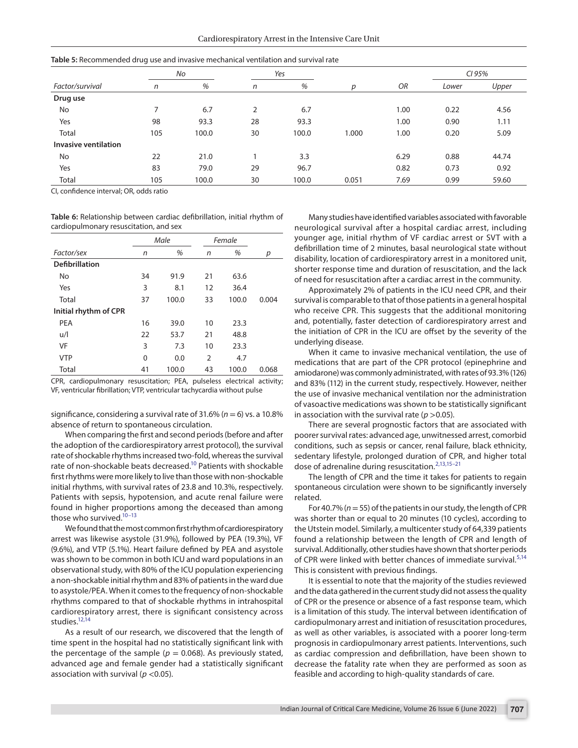|                      | <u>.</u> |       |                |       |       |      |        |       |
|----------------------|----------|-------|----------------|-------|-------|------|--------|-------|
|                      | No       |       | Yes            |       |       |      | CI 95% |       |
| Factor/survival      | n        | %     | n              | %     | D     | OR   | Lower  | Upper |
| Drug use             |          |       |                |       |       |      |        |       |
| No                   | 7        | 6.7   | $\overline{2}$ | 6.7   |       | 1.00 | 0.22   | 4.56  |
| Yes                  | 98       | 93.3  | 28             | 93.3  |       | 1.00 | 0.90   | 1.11  |
| Total                | 105      | 100.0 | 30             | 100.0 | 1.000 | 1.00 | 0.20   | 5.09  |
| Invasive ventilation |          |       |                |       |       |      |        |       |
| No                   | 22       | 21.0  |                | 3.3   |       | 6.29 | 0.88   | 44.74 |
| Yes                  | 83       | 79.0  | 29             | 96.7  |       | 0.82 | 0.73   | 0.92  |
| Total                | 105      | 100.0 | 30             | 100.0 | 0.051 | 7.69 | 0.99   | 59.60 |

<span id="page-3-0"></span>**Table 5:** Recommended drug use and invasive mechanical ventilation and survival rate

CI, confidence interval; OR, odds ratio

<span id="page-3-1"></span>**Table 6:** Relationship between cardiac defibrillation, initial rhythm of cardiopulmonary resuscitation, and sex

|                       | Male |       |    | Female |       |  |
|-----------------------|------|-------|----|--------|-------|--|
| Factor/sex            | n    | %     | n  | %      | р     |  |
| <b>Defibrillation</b> |      |       |    |        |       |  |
| <b>No</b>             | 34   | 91.9  | 21 | 63.6   |       |  |
| Yes                   | 3    | 8.1   | 12 | 36.4   |       |  |
| Total                 | 37   | 100.0 | 33 | 100.0  | 0.004 |  |
| Initial rhythm of CPR |      |       |    |        |       |  |
| <b>PEA</b>            | 16   | 39.0  | 10 | 23.3   |       |  |
| u/l                   | 22   | 53.7  | 21 | 48.8   |       |  |
| VF                    | 3    | 7.3   | 10 | 23.3   |       |  |
| <b>VTP</b>            | 0    | 0.0   | 2  | 4.7    |       |  |
| Total                 | 41   | 100.0 | 43 | 100.0  | 0.068 |  |

CPR, cardiopulmonary resuscitation; PEA, pulseless electrical activity; VF, ventricular fibrillation; VTP, ventricular tachycardia without pulse

significance, considering a survival rate of 31.6% (*n* = 6) vs. a 10.8% absence of return to spontaneous circulation.

When comparing the first and second periods (before and after the adoption of the cardiorespiratory arrest protocol), the survival rate of shockable rhythms increased two-fold, whereas the survival rate of non-shockable beats decreased.<sup>10</sup> Patients with shockable first rhythms were more likely to live than those with non-shockable initial rhythms, with survival rates of 23.8 and 10.3%, respectively. Patients with sepsis, hypotension, and acute renal failure were found in higher proportions among the deceased than among those who survived. $10-13$ 

We found that the most common first rhythm of cardiorespiratory arrest was likewise asystole (31.9%), followed by PEA (19.3%), VF (9.6%), and VTP (5.1%). Heart failure defined by PEA and asystole was shown to be common in both ICU and ward populations in an observational study, with 80% of the ICU population experiencing a non-shockable initial rhythm and 83% of patients in the ward due to asystole/PEA. When it comes to the frequency of non-shockable rhythms compared to that of shockable rhythms in intrahospital cardiorespiratory arrest, there is significant consistency across studies.<sup>12,[14](#page-4-11)</sup>

As a result of our research, we discovered that the length of time spent in the hospital had no statistically significant link with the percentage of the sample ( $p = 0.068$ ). As previously stated, advanced age and female gender had a statistically significant association with survival (*p* <0.05).

Many studies have identified variables associated with favorable neurological survival after a hospital cardiac arrest, including younger age, initial rhythm of VF cardiac arrest or SVT with a defibrillation time of 2 minutes, basal neurological state without disability, location of cardiorespiratory arrest in a monitored unit, shorter response time and duration of resuscitation, and the lack of need for resuscitation after a cardiac arrest in the community.

Approximately 2% of patients in the ICU need CPR, and their survival is comparable to that of those patients in a general hospital who receive CPR. This suggests that the additional monitoring and, potentially, faster detection of cardiorespiratory arrest and the initiation of CPR in the ICU are offset by the severity of the underlying disease.

When it came to invasive mechanical ventilation, the use of medications that are part of the CPR protocol (epinephrine and amiodarone) was commonly administrated, with rates of 93.3% (126) and 83% (112) in the current study, respectively. However, neither the use of invasive mechanical ventilation nor the administration of vasoactive medications was shown to be statistically significant in association with the survival rate ( $p > 0.05$ ).

There are several prognostic factors that are associated with poorer survival rates: advanced age, unwitnessed arrest, comorbid conditions, such as sepsis or cancer, renal failure, black ethnicity, sedentary lifestyle, prolonged duration of CPR, and higher total dose of adrenaline during resuscitation.<sup>[2,](#page-4-1)[13](#page-4-9)[,15](#page-4-12)-21</sup>

The length of CPR and the time it takes for patients to regain spontaneous circulation were shown to be significantly inversely related.

For 40.7% (*n*= 55) of the patients in our study, the length of CPR was shorter than or equal to 20 minutes (10 cycles), according to the Utstein model. Similarly, a multicenter study of 64,339 patients found a relationship between the length of CPR and length of survival. Additionally, other studies have shown that shorter periods of CPR were linked with better chances of immediate survival.<sup>[5,](#page-4-2)[14](#page-4-11)</sup> This is consistent with previous findings.

It is essential to note that the majority of the studies reviewed and the data gathered in the current study did not assess the quality of CPR or the presence or absence of a fast response team, which is a limitation of this study. The interval between identification of cardiopulmonary arrest and initiation of resuscitation procedures, as well as other variables, is associated with a poorer long-term prognosis in cardiopulmonary arrest patients. Interventions, such as cardiac compression and defibrillation, have been shown to decrease the fatality rate when they are performed as soon as feasible and according to high-quality standards of care.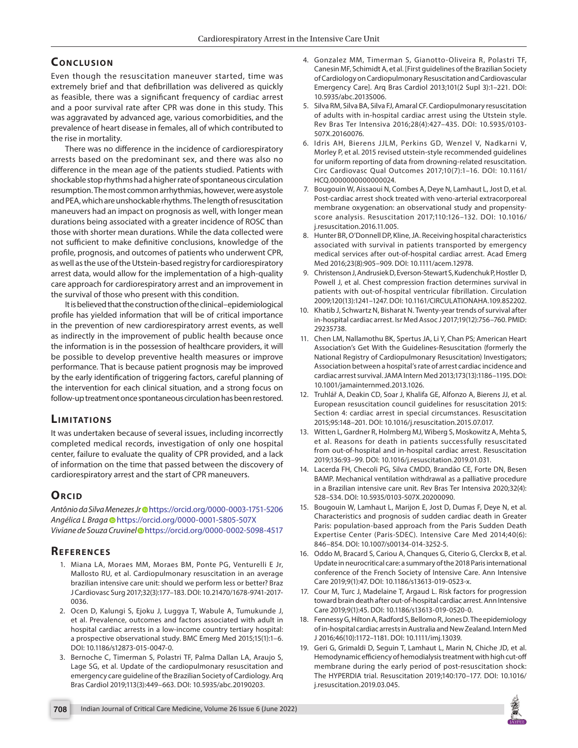# **CONCLUSION**

Even though the resuscitation maneuver started, time was extremely brief and that defibrillation was delivered as quickly as feasible, there was a significant frequency of cardiac arrest and a poor survival rate after CPR was done in this study. This was aggravated by advanced age, various comorbidities, and the prevalence of heart disease in females, all of which contributed to the rise in mortality.

There was no difference in the incidence of cardiorespiratory arrests based on the predominant sex, and there was also no difference in the mean age of the patients studied. Patients with shockable stop rhythms had a higher rate of spontaneous circulation resumption. The most common arrhythmias, however, were asystole and PEA, which are unshockable rhythms. The length of resuscitation maneuvers had an impact on prognosis as well, with longer mean durations being associated with a greater incidence of ROSC than those with shorter mean durations. While the data collected were not sufficient to make definitive conclusions, knowledge of the profile, prognosis, and outcomes of patients who underwent CPR, as well as the use of the Utstein-based registry for cardiorespiratory arrest data, would allow for the implementation of a high-quality care approach for cardiorespiratory arrest and an improvement in the survival of those who present with this condition.

It is believed that the construction of the clinical–epidemiological profile has yielded information that will be of critical importance in the prevention of new cardiorespiratory arrest events, as well as indirectly in the improvement of public health because once the information is in the possession of healthcare providers, it will be possible to develop preventive health measures or improve performance. That is because patient prognosis may be improved by the early identification of triggering factors, careful planning of the intervention for each clinical situation, and a strong focus on follow-up treatment once spontaneous circulation has been restored.

## **LIMITATIONS**

It was undertaken because of several issues, including incorrectly completed medical records, investigation of only one hospital center, failure to evaluate the quality of CPR provided, and a lack of information on the time that passed between the discovery of cardiorespiratory arrest and the start of CPR maneuvers.

# **ORCID**

Antônio da Silva Menezes Jr<sup>o</sup>[h](https://orcid.org/0000-0003-1751-5206)ttps://orcid.org/0000-0003-1751-5206 *Angélica L Brag[a](https://orcid.org/0000-0001-5805-507X)* https://orcid.org/0000-0001-5805-507X *Viviane de Souza Cruvine[l](https://orcid.org/0000-0002-5098-4517)* https://orcid.org/0000-0002-5098-4517

# **REFERENCES**

- <span id="page-4-0"></span>1. Miana LA, Moraes MM, Moraes BM, Ponte PG, Venturelli E Jr, Mallosto RU, et al. Cardiopulmonary resuscitation in an average brazilian intensive care unit: should we perform less or better? Braz J Cardiovasc Surg 2017;32(3):177–183. DOI: 10.21470/1678-9741-2017- 0036.
- <span id="page-4-1"></span>2. Ocen D, Kalungi S, Ejoku J, Luggya T, Wabule A, Tumukunde J, et al. Prevalence, outcomes and factors associated with adult in hospital cardiac arrests in a low-income country tertiary hospital: a prospective observational study. BMC Emerg Med 2015;15(1):1–6. DOI: 10.1186/s12873-015-0047-0.
- <span id="page-4-3"></span>3. Bernoche C, Timerman S, Polastri TF, Palma Dallan LA, Araujo S, Lage SG, et al. Update of the cardiopulmonary resuscitation and emergency care guideline of the Brazilian Society of Cardiology. Arq Bras Cardiol 2019;113(3):449–663. DOI: 10.5935/abc.20190203.
- 4. Gonzalez MM, Timerman S, Gianotto-Oliveira R, Polastri TF, Canesin MF, Schimidt A, et al. [First guidelines of the Brazilian Society of Cardiology on Cardiopulmonary Resuscitation and Cardiovascular Emergency Care]. Arq Bras Cardiol 2013;101(2 Supl 3):1–221. DOI: 10.5935/abc.2013S006.
- <span id="page-4-2"></span>5. Silva RM, Silva BA, Silva FJ, Amaral CF. Cardiopulmonary resuscitation of adults with in-hospital cardiac arrest using the Utstein style. Rev Bras Ter Intensiva 2016;28(4):427–435. DOI: 10.5935/0103- 507X.20160076.
- <span id="page-4-4"></span>6. Idris AH, Bierens JJLM, Perkins GD, Wenzel V, Nadkarni V, Morley P, et al. 2015 revised utstein-style recommended guidelines for uniform reporting of data from drowning-related resuscitation. Circ Cardiovasc Qual Outcomes 2017;10(7):1–16. DOI: 10.1161/ HCQ.0000000000000024.
- <span id="page-4-5"></span>7. Bougouin W, Aissaoui N, Combes A, Deye N, Lamhaut L, Jost D, et al. Post-cardiac arrest shock treated with veno-arterial extracorporeal membrane oxygenation: an observational study and propensityscore analysis. Resuscitation 2017;110:126–132. DOI: 10.1016/ j.resuscitation.2016.11.005.
- <span id="page-4-6"></span>8. Hunter BR, O'Donnell DP, Kline, JA. Receiving hospital characteristics associated with survival in patients transported by emergency medical services after out-of-hospital cardiac arrest. Acad Emerg Med 2016;23(8):905–909. DOI: 10.1111/acem.12978.
- <span id="page-4-7"></span>9. Christenson J, Andrusiek D, Everson-Stewart S, Kudenchuk P, Hostler D, Powell J, et al. Chest compression fraction determines survival in patients with out-of-hospital ventricular fibrillation. Circulation 2009;120(13):1241–1247. DOI: 10.1161/CIRCULATIONAHA.109.852202.
- <span id="page-4-8"></span>10. Khatib J, Schwartz N, Bisharat N. Twenty-year trends of survival after in-hospital cardiac arrest. Isr Med Assoc J 2017;19(12):756–760. PMID: 29235738.
- 11. Chen LM, Nallamothu BK, Spertus JA, Li Y, Chan PS; American Heart Association's Get With the Guidelines-Resuscitation (formerly the National Registry of Cardiopulmonary Resuscitation) Investigators; Association between a hospital's rate of arrest cardiac incidence and cardiac arrest survival. JAMA Intern Med 2013;173(13):1186–1195. DOI: 10.1001/jamainternmed.2013.1026.
- <span id="page-4-10"></span>12. Truhlář A, Deakin CD, Soar J, Khalifa GE, Alfonzo A, Bierens JJ, et al. European resuscitation council guidelines for resuscitation 2015: Section 4: cardiac arrest in special circumstances. Resuscitation 2015;95:148–201. DOI: 10.1016/j.resuscitation.2015.07.017.
- <span id="page-4-9"></span>13. Witten L, Gardner R, Holmberg MJ, Wiberg S, Moskowitz A, Mehta S, et al. Reasons for death in patients successfully resuscitated from out-of-hospital and in-hospital cardiac arrest. Resuscitation 2019;136:93–99. DOI: 10.1016/j.resuscitation.2019.01.031.
- <span id="page-4-11"></span>14. Lacerda FH, Checoli PG, Silva CMDD, Brandão CE, Forte DN, Besen BAMP. Mechanical ventilation withdrawal as a palliative procedure in a Brazilian intensive care unit. Rev Bras Ter Intensiva 2020;32(4): 528–534. DOI: 10.5935/0103-507X.20200090.
- <span id="page-4-12"></span>15. Bougouin W, Lamhaut L, Marijon E, Jost D, Dumas F, Deye N, et al. Characteristics and prognosis of sudden cardiac death in Greater Paris: population-based approach from the Paris Sudden Death Expertise Center (Paris-SDEC). Intensive Care Med 2014;40(6): 846–854. DOI: 10.1007/s00134-014-3252-5.
- 16. Oddo M, Bracard S, Cariou A, Chanques G, Citerio G, Clerckx B, et al. Update in neurocritical care: a summary of the 2018 Paris international conference of the French Society of Intensive Care. Ann Intensive Care 2019;9(1):47. DOI: 10.1186/s13613-019-0523-x.
- 17. Cour M, Turc J, Madelaine T, Argaud L. Risk factors for progression toward brain death after out-of-hospital cardiac arrest. Ann Intensive Care 2019;9(1):45. DOI: 10.1186/s13613-019-0520-0.
- 18. Fennessy G, Hilton A, Radford S, Bellomo R, Jones D. The epidemiology of in-hospital cardiac arrests in Australia and New Zealand. Intern Med J 2016;46(10):1172–1181. DOI: 10.1111/imj.13039.
- 19. Geri G, Grimaldi D, Seguin T, Lamhaut L, Marin N, Chiche JD, et al. Hemodynamic efficiency of hemodialysis treatment with high cut-off membrane during the early period of post-resuscitation shock: The HYPERDIA trial. Resuscitation 2019;140:170–177. DOI: 10.1016/ j.resuscitation.2019.03.045.